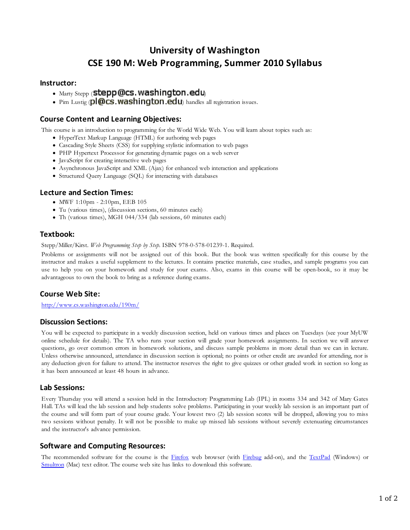# **University of Washington CSE 190 M: Web Programming, Summer 2010 Syllabus**

#### **Instructor:**

- $M$ arty Stepp (stepp @cs. washington.edu)
- Pim Lustig  $\left( \text{pl} \mathbb{Q} \right)$ **CS. Washington.ed U**) handles all registration issues.

## **Course Content and Learning Objectives:**

This course is an introduction to programming for the World Wide Web. You will learn about topics such as:

- HyperText Markup Language (HTML) for authoring web pages
- Cascading Style Sheets (CSS) for supplying stylistic information to web pages
- PHP Hypertext Processor for generating dynamic pages on a web server
- JavaScript for creating interactive web pages
- Asynchronous JavaScript and XML (Ajax) for enhanced web interaction and applications
- Structured Query Language (SQL) for interacting with databases

## **Lecture and Section Times:**

- MWF 1:10pm 2:10pm, EEB 105
- Tu (various times), (discussion sections, 60 minutes each)
- Th (various times), MGH 044/334 (lab sessions, 60 minutes each)

## **Textbook:**

Stepp/Miller/Kirst. *Web Programming Step by Step*. ISBN 978-0-578-01239-1. Required.

Problems or assignments will not be assigned out of this book. But the book was written specifically for this course by the instructor and makes a useful supplement to the lectures. It contains practice materials, case studies, and sample programs you can use to help you on your homework and study for your exams. Also, exams in this course will be open-book, so it may be advantageous to own the book to bring as a reference during exams.

# **Course Web Site:**

http://www.cs.washington.edu/190m/

#### **Discussion Sections:**

You will be expected to participate in a weekly discussion section, held on various times and places on Tuesdays (see your MyUW online schedule for details). The TA who runs your section will grade your homework assignments. In section we will answer questions, go over common errors in homework solutions, and discuss sample problems in more detail than we can in lecture. Unless otherwise announced, attendance in discussion section is optional; no points or other credit are awarded for attending, nor is any deduction given for failure to attend. The instructor reserves the right to give quizzes or other graded work in section so long as it has been announced at least 48 hours in advance.

# **Lab Sessions:**

Every Thursday you will attend a session held in the Introductory Programming Lab (IPL) in rooms 334 and 342 of Mary Gates Hall. TAs will lead the lab session and help students solve problems. Participating in your weekly lab session is an important part of the course and will form part of your course grade. Your lowest two (2) lab session scores will be dropped, allowing you to miss two sessions without penalty. It will not be possible to make up missed lab sessions without severely extenuating circumstances and the instructor's advance permission.

#### **Software and Computing Resources:**

The recommended software for the course is the Firefox web browser (with Firebug add-on), and the TextPad (Windows) or Smultron (Mac) text editor. The course web site has links to download this software.